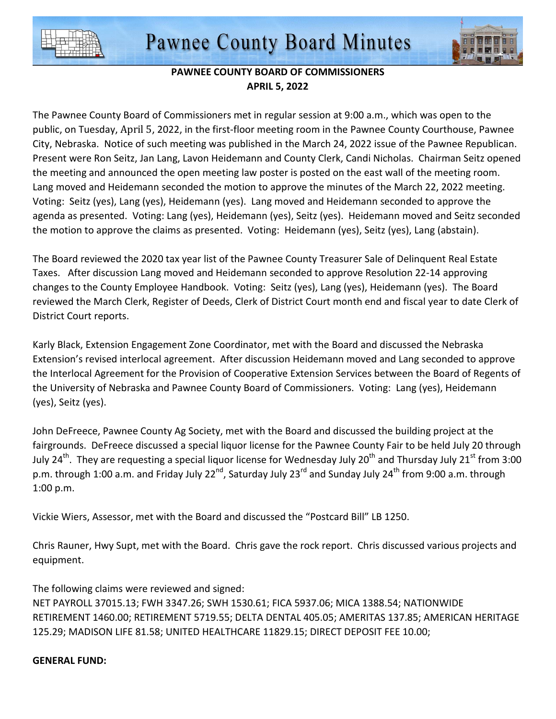



## **PAWNEE COUNTY BOARD OF COMMISSIONERS APRIL 5, 2022**

The Pawnee County Board of Commissioners met in regular session at 9:00 a.m., which was open to the public, on Tuesday, April 5, 2022, in the first-floor meeting room in the Pawnee County Courthouse, Pawnee City, Nebraska. Notice of such meeting was published in the March 24, 2022 issue of the Pawnee Republican. Present were Ron Seitz, Jan Lang, Lavon Heidemann and County Clerk, Candi Nicholas. Chairman Seitz opened the meeting and announced the open meeting law poster is posted on the east wall of the meeting room. Lang moved and Heidemann seconded the motion to approve the minutes of the March 22, 2022 meeting. Voting: Seitz (yes), Lang (yes), Heidemann (yes). Lang moved and Heidemann seconded to approve the agenda as presented. Voting: Lang (yes), Heidemann (yes), Seitz (yes). Heidemann moved and Seitz seconded the motion to approve the claims as presented. Voting: Heidemann (yes), Seitz (yes), Lang (abstain).

The Board reviewed the 2020 tax year list of the Pawnee County Treasurer Sale of Delinquent Real Estate Taxes. After discussion Lang moved and Heidemann seconded to approve Resolution 22-14 approving changes to the County Employee Handbook. Voting: Seitz (yes), Lang (yes), Heidemann (yes). The Board reviewed the March Clerk, Register of Deeds, Clerk of District Court month end and fiscal year to date Clerk of District Court reports.

Karly Black, Extension Engagement Zone Coordinator, met with the Board and discussed the Nebraska Extension's revised interlocal agreement. After discussion Heidemann moved and Lang seconded to approve the Interlocal Agreement for the Provision of Cooperative Extension Services between the Board of Regents of the University of Nebraska and Pawnee County Board of Commissioners. Voting: Lang (yes), Heidemann (yes), Seitz (yes).

John DeFreece, Pawnee County Ag Society, met with the Board and discussed the building project at the fairgrounds. DeFreece discussed a special liquor license for the Pawnee County Fair to be held July 20 through July 24<sup>th</sup>. They are requesting a special liquor license for Wednesday July 20<sup>th</sup> and Thursday July 21<sup>st</sup> from 3:00 p.m. through 1:00 a.m. and Friday July 22<sup>nd</sup>, Saturday July 23<sup>rd</sup> and Sunday July 24<sup>th</sup> from 9:00 a.m. through 1:00 p.m.

Vickie Wiers, Assessor, met with the Board and discussed the "Postcard Bill" LB 1250.

Chris Rauner, Hwy Supt, met with the Board. Chris gave the rock report. Chris discussed various projects and equipment.

The following claims were reviewed and signed:

NET PAYROLL 37015.13; FWH 3347.26; SWH 1530.61; FICA 5937.06; MICA 1388.54; NATIONWIDE RETIREMENT 1460.00; RETIREMENT 5719.55; DELTA DENTAL 405.05; AMERITAS 137.85; AMERICAN HERITAGE 125.29; MADISON LIFE 81.58; UNITED HEALTHCARE 11829.15; DIRECT DEPOSIT FEE 10.00;

## **GENERAL FUND:**